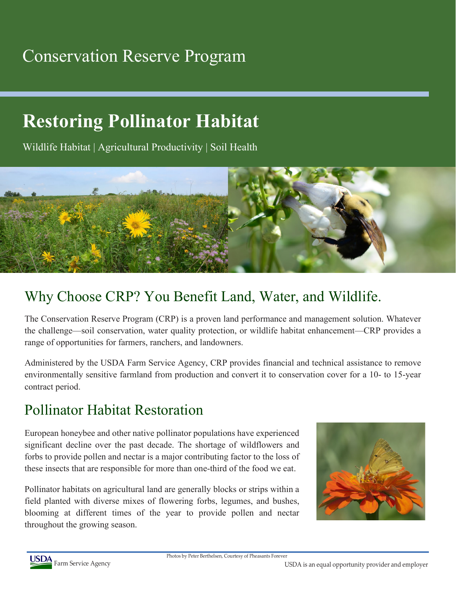## Conservation Reserve Program

# **Restoring Pollinator Habitat**

Wildlife Habitat | Agricultural Productivity | Soil Health



### Why Choose CRP? You Benefit Land, Water, and Wildlife.

The Conservation Reserve Program (CRP) is a proven land performance and management solution. Whatever the challenge—soil conservation, water quality protection, or wildlife habitat enhancement—CRP provides a range of opportunities for farmers, ranchers, and landowners.

Administered by the USDA Farm Service Agency, CRP provides financial and technical assistance to remove environmentally sensitive farmland from production and convert it to conservation cover for a 10- to 15-year contract period.

#### Pollinator Habitat Restoration

European honeybee and other native pollinator populations have experienced significant decline over the past decade. The shortage of wildflowers and forbs to provide pollen and nectar is a major contributing factor to the loss of these insects that are responsible for more than one-third of the food we eat.

Pollinator habitats on agricultural land are generally blocks or strips within a field planted with diverse mixes of flowering forbs, legumes, and bushes, blooming at different times of the year to provide pollen and nectar throughout the growing season.





Photos by Peter Berthelsen, Courtesy of Pheasants Forever